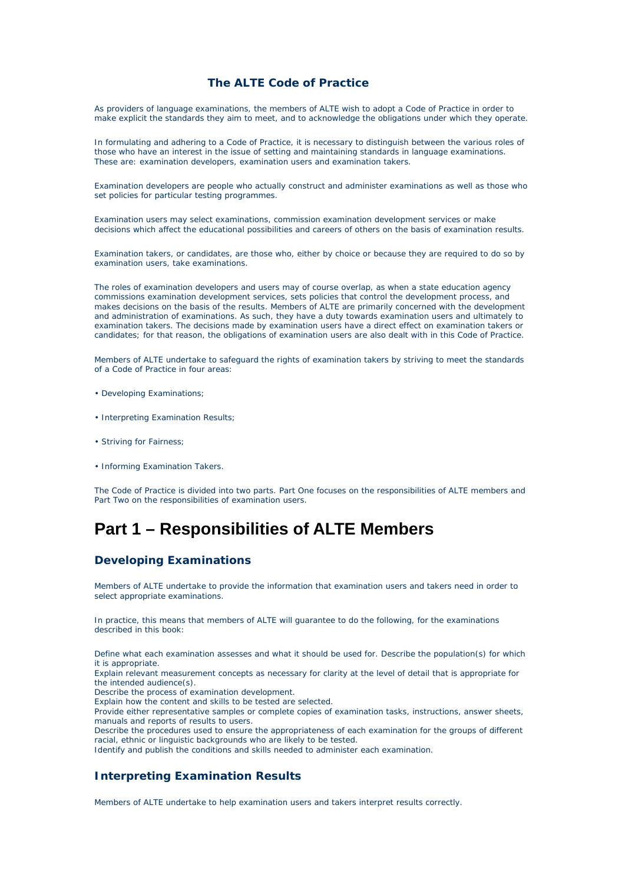### **The ALTE Code of Practice**

As providers of language examinations, the members of ALTE wish to adopt a Code of Practice in order to make explicit the standards they aim to meet, and to acknowledge the obligations under which they operate.

In formulating and adhering to a Code of Practice, it is necessary to distinguish between the various roles of those who have an interest in the issue of setting and maintaining standards in language examinations. These are: examination developers, examination users and examination takers.

Examination developers are people who actually construct and administer examinations as well as those who set policies for particular testing programmes.

Examination users may select examinations, commission examination development services or make decisions which affect the educational possibilities and careers of others on the basis of examination results.

Examination takers, or candidates, are those who, either by choice or because they are required to do so by examination users, take examinations.

The roles of examination developers and users may of course overlap, as when a state education agency commissions examination development services, sets policies that control the development process, and makes decisions on the basis of the results. Members of ALTE are primarily concerned with the development and administration of examinations. As such, they have a duty towards examination users and ultimately to examination takers. The decisions made by examination users have a direct effect on examination takers or candidates; for that reason, the obligations of examination users are also dealt with in this Code of Practice.

Members of ALTE undertake to safeguard the rights of examination takers by striving to meet the standards of a Code of Practice in four areas:

- Developing Examinations;
- Interpreting Examination Results;
- Striving for Fairness;
- Informing Examination Takers.

The Code of Practice is divided into two parts. Part One focuses on the responsibilities of ALTE members and Part Two on the responsibilities of examination users.

# **Part 1 – Responsibilities of ALTE Members**

### **Developing Examinations**

Members of ALTE undertake to provide the information that examination users and takers need in order to select appropriate examinations.

In practice, this means that members of ALTE will guarantee to do the following, for the examinations described in this book:

Define what each examination assesses and what it should be used for. Describe the population(s) for which it is appropriate.

Explain relevant measurement concepts as necessary for clarity at the level of detail that is appropriate for the intended audience(s).

Describe the process of examination development.

Explain how the content and skills to be tested are selected.

Provide either representative samples or complete copies of examination tasks, instructions, answer sheets, manuals and reports of results to users.

Describe the procedures used to ensure the appropriateness of each examination for the groups of different racial, ethnic or linguistic backgrounds who are likely to be tested.

Identify and publish the conditions and skills needed to administer each examination.

### **Interpreting Examination Results**

Members of ALTE undertake to help examination users and takers interpret results correctly.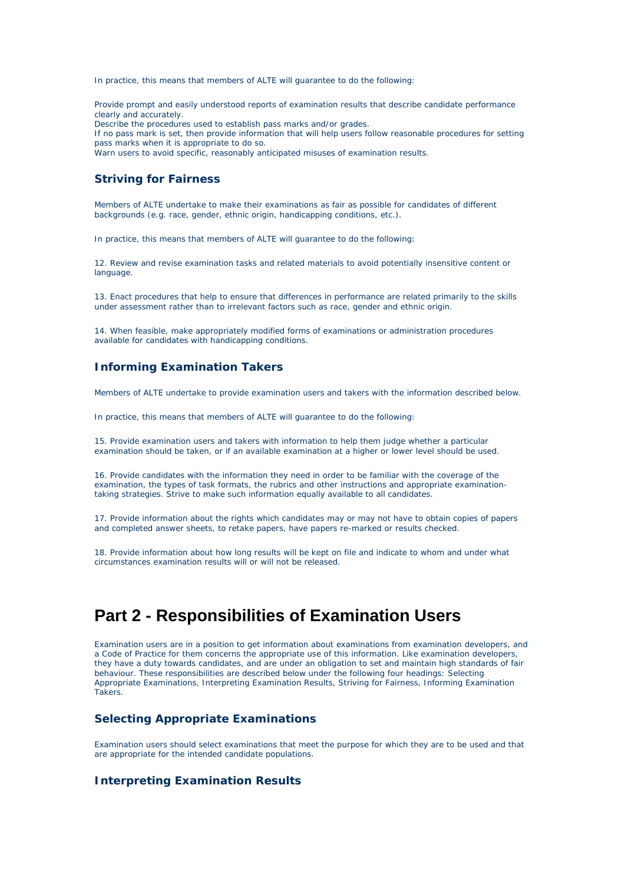In practice, this means that members of ALTE will guarantee to do the following:

Provide prompt and easily understood reports of examination results that describe candidate performance clearly and accurately. Describe the procedures used to establish pass marks and/or grades. If no pass mark is set, then provide information that will help users follow reasonable procedures for setting pass marks when it is appropriate to do so. Warn users to avoid specific, reasonably anticipated misuses of examination results.

### **Striving for Fairness**

Members of ALTE undertake to make their examinations as fair as possible for candidates of different backgrounds (e.g. race, gender, ethnic origin, handicapping conditions, etc.).

In practice, this means that members of ALTE will guarantee to do the following:

12. Review and revise examination tasks and related materials to avoid potentially insensitive content or language.

13. Enact procedures that help to ensure that differences in performance are related primarily to the skills under assessment rather than to irrelevant factors such as race, gender and ethnic origin.

14. When feasible, make appropriately modified forms of examinations or administration procedures available for candidates with handicapping conditions.

#### **Informing Examination Takers**

Members of ALTE undertake to provide examination users and takers with the information described below.

In practice, this means that members of ALTE will guarantee to do the following:

15. Provide examination users and takers with information to help them judge whether a particular examination should be taken, or if an available examination at a higher or lower level should be used.

16. Provide candidates with the information they need in order to be familiar with the coverage of the examination, the types of task formats, the rubrics and other instructions and appropriate examinationtaking strategies. Strive to make such information equally available to all candidates.

17. Provide information about the rights which candidates may or may not have to obtain copies of papers and completed answer sheets, to retake papers, have papers re-marked or results checked.

18. Provide information about how long results will be kept on file and indicate to whom and under what circumstances examination results will or will not be released.

## **Part 2 - Responsibilities of Examination Users**

Examination users are in a position to get information about examinations from examination developers, and a Code of Practice for them concerns the appropriate use of this information. Like examination developers, they have a duty towards candidates, and are under an obligation to set and maintain high standards of fair behaviour. These responsibilities are described below under the following four headings: Selecting Appropriate Examinations, Interpreting Examination Results, Striving for Fairness, Informing Examination Takers.

### **Selecting Appropriate Examinations**

Examination users should select examinations that meet the purpose for which they are to be used and that are appropriate for the intended candidate populations.

### **Interpreting Examination Results**